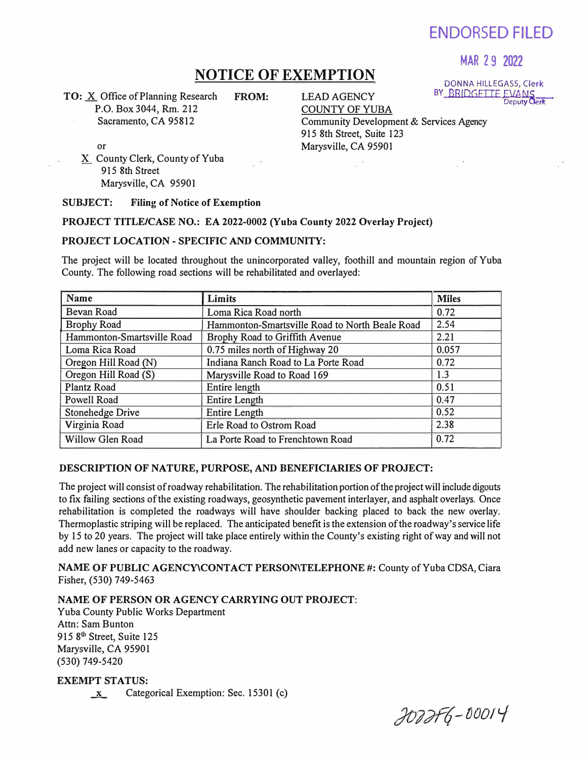ENDORSED FILED

## MAR 29 2022

DONNA HILLEGASS, Clerk

# **NOTICE OF EXEMPTION**

**TO:** X Office of Planning Research P.O. Box 3044, Rm. 212 Sacramento, CA 95812

**FROM:** LEAD AGENCY COUNTY OF YUBA BY\_BRIDGETTE\_EVANS<br>Deput**y Clerk** Community Development & Services Agency 915 8th Street, Suite 123 Marysville, CA 95901

or

X County Clerk, County of Yuba 915 8th Street Marysville, CA 95901

## **SUBJECT: Filing of Notice of Exemption**

## **PROJECT TITLE/CASE NO.: EA 2022-0002 (Yuba County 2022 Overlay Project)**

## **PROJECT LOCATION- SPECIFIC AND COMMUNITY:**

The project will be located throughout the unincorporated valley, foothill and mountain region of Yuba County. The following road sections will be rehabilitated and overlayed:

| <b>Name</b>                | Limits                                         | <b>Miles</b> |
|----------------------------|------------------------------------------------|--------------|
| Bevan Road                 | Loma Rica Road north                           | 0.72         |
| <b>Brophy Road</b>         | Hammonton-Smartsville Road to North Beale Road | 2.54         |
| Hammonton-Smartsville Road | Brophy Road to Griffith Avenue                 | 2.21         |
| Loma Rica Road             | 0.75 miles north of Highway 20                 | 0.057        |
| Oregon Hill Road (N)       | Indiana Ranch Road to La Porte Road            | 0.72         |
| Oregon Hill Road (S)       | Marysville Road to Road 169                    | 1.3          |
| Plantz Road                | Entire length                                  | 0.51         |
| Powell Road                | <b>Entire Length</b>                           | 0.47         |
| <b>Stonehedge Drive</b>    | <b>Entire Length</b>                           | 0.52         |
| Virginia Road              | Erle Road to Ostrom Road                       | 2.38         |
| Willow Glen Road           | La Porte Road to Frenchtown Road               | 0.72         |

## **DESCRIPTION OF NATURE, PURPOSE, AND BENEFICIARIES OF PROJECT:**

The project will consist of roadway rehabilitation. The rehabilitation portion of the project will include digouts to fix failing sections of the existing roadways, geosynthetic pavement interlayer, and asphalt overlays. Once rehabilitation is completed the roadways will have shoulder backing placed to back the new overlay. Thermoplastic striping will be replaced. The anticipated benefit is the extension of the roadway's service life by 15 to 20 years. The project will take place entirely within the County's existing right of way and will not add new lanes or capacity to the roadway.

**NAME OF PUBLIC AGENCY\CONTACT PERSON\TELEPHONE** #: County of Yuba CDSA, Ciara Fisher, (530) 749-5463

**NAME OF PERSON OR AGENCY CARRYING OUT PROJECT:** 

Yuba County Public Works Department Attn: Sam Bunton 915 8<sup>th</sup> Street, Suite 125 Marysville, CA 95901 (530) 749-5420

**EXEMPT STATUS:**   $\underline{x}$  Categorical Exemption: Sec. 15301 (c)

*tot* --!)::1e *() oo 1* 1-,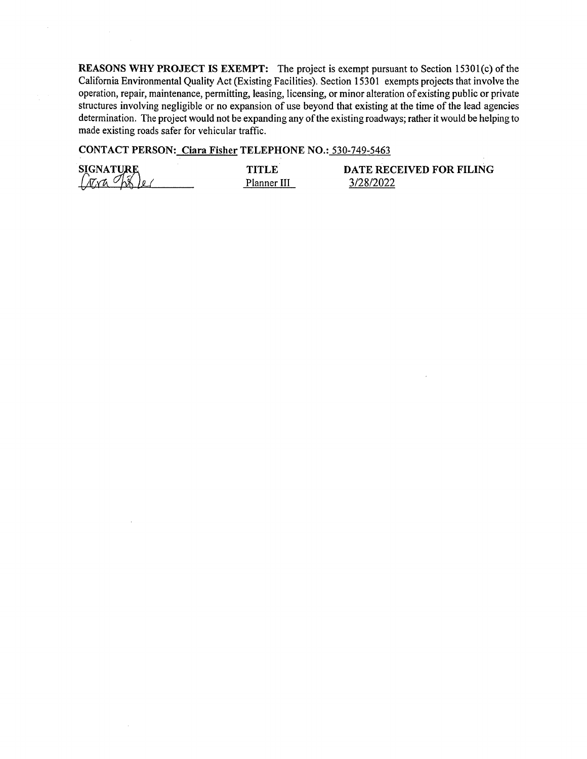**REASONS WHY PROJECT IS EXEMPT:** The project is exempt pursuant to Section 15301(c) of the California Environmental Quality Act (Existing Facilities). Section 15301 exempts projects that involve the operation, repair, maintenance, permitting, leasing, licensing, or minor alteration of existing public or private structures involving negligible or no expansion of use beyond that existing at the time of the lead agencies determination. The project would not be expanding any of the existing roadways; rather it would be helping to made existing roads safer for vehicular traffic.

**CONTACT PERSON: Ciara Fisher TELEPHONE NO.:** 530-749-5463

**SIGNATURE**<br>*Colxa* by *de (* 

**TITLE**  Planner III **DATE RECEIVED FOR FILING**  3/28/2022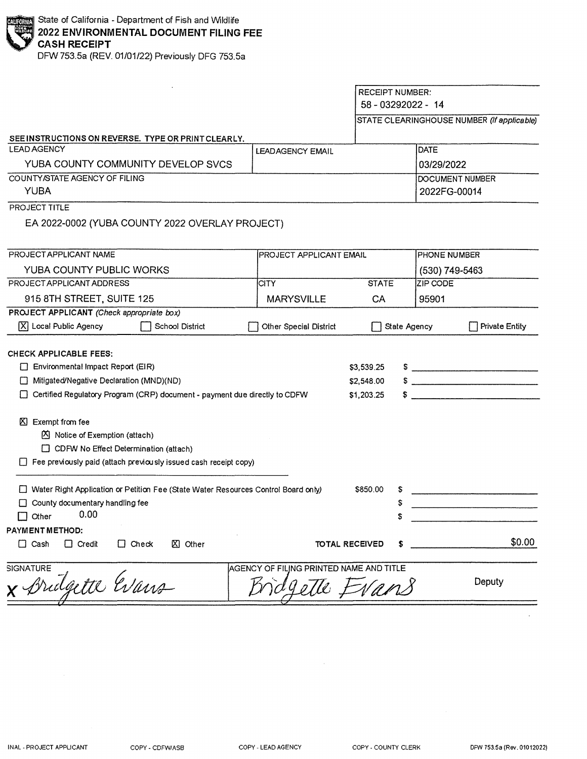DFW 753.Sa (REV. 01/01/22) Previously DFG 753.Sa

|                                                                                                                                                                                                          |                                                         |                                        | <b>RECEIPT NUMBER:</b><br>58 - 03292022 - 14<br>STATE CLEARINGHOUSE NUMBER (If applicable) |                                                                                                                                                                                                                                                                                                                                                                                                                                                                                                                                                                                                                                                                                                                                                                                                                                                                                                                                                         |  |
|----------------------------------------------------------------------------------------------------------------------------------------------------------------------------------------------------------|---------------------------------------------------------|----------------------------------------|--------------------------------------------------------------------------------------------|---------------------------------------------------------------------------------------------------------------------------------------------------------------------------------------------------------------------------------------------------------------------------------------------------------------------------------------------------------------------------------------------------------------------------------------------------------------------------------------------------------------------------------------------------------------------------------------------------------------------------------------------------------------------------------------------------------------------------------------------------------------------------------------------------------------------------------------------------------------------------------------------------------------------------------------------------------|--|
| SEE INSTRUCTIONS ON REVERSE. TYPE OR PRINT CLEARLY.                                                                                                                                                      |                                                         |                                        |                                                                                            |                                                                                                                                                                                                                                                                                                                                                                                                                                                                                                                                                                                                                                                                                                                                                                                                                                                                                                                                                         |  |
| <b>LEAD AGENCY</b>                                                                                                                                                                                       | LEADAGENCY EMAIL                                        |                                        | <b>DATE</b>                                                                                |                                                                                                                                                                                                                                                                                                                                                                                                                                                                                                                                                                                                                                                                                                                                                                                                                                                                                                                                                         |  |
| YUBA COUNTY COMMUNITY DEVELOP SVCS                                                                                                                                                                       |                                                         |                                        | 03/29/2022                                                                                 |                                                                                                                                                                                                                                                                                                                                                                                                                                                                                                                                                                                                                                                                                                                                                                                                                                                                                                                                                         |  |
| COUNTY/STATE AGENCY OF FILING<br><b>YUBA</b>                                                                                                                                                             |                                                         |                                        | 2022FG-00014                                                                               | DOCUMENT NUMBER                                                                                                                                                                                                                                                                                                                                                                                                                                                                                                                                                                                                                                                                                                                                                                                                                                                                                                                                         |  |
| PROJECT TITLE                                                                                                                                                                                            |                                                         |                                        |                                                                                            |                                                                                                                                                                                                                                                                                                                                                                                                                                                                                                                                                                                                                                                                                                                                                                                                                                                                                                                                                         |  |
| EA 2022-0002 (YUBA COUNTY 2022 OVERLAY PROJECT)                                                                                                                                                          |                                                         |                                        |                                                                                            |                                                                                                                                                                                                                                                                                                                                                                                                                                                                                                                                                                                                                                                                                                                                                                                                                                                                                                                                                         |  |
| PROJECT APPLICANT NAME                                                                                                                                                                                   | <b>IPROJECT APPLICANT EMAIL</b>                         |                                        |                                                                                            | PHONE NUMBER                                                                                                                                                                                                                                                                                                                                                                                                                                                                                                                                                                                                                                                                                                                                                                                                                                                                                                                                            |  |
| YUBA COUNTY PUBLIC WORKS                                                                                                                                                                                 |                                                         |                                        | (530) 749-5463                                                                             |                                                                                                                                                                                                                                                                                                                                                                                                                                                                                                                                                                                                                                                                                                                                                                                                                                                                                                                                                         |  |
| PROJECT APPLICANT ADDRESS                                                                                                                                                                                | <b>CITY</b>                                             | <b>STATE</b>                           |                                                                                            | IZIP CODE                                                                                                                                                                                                                                                                                                                                                                                                                                                                                                                                                                                                                                                                                                                                                                                                                                                                                                                                               |  |
| 915 8TH STREET, SUITE 125                                                                                                                                                                                | <b>MARYSVILLE</b>                                       | CA                                     | 95901                                                                                      |                                                                                                                                                                                                                                                                                                                                                                                                                                                                                                                                                                                                                                                                                                                                                                                                                                                                                                                                                         |  |
| PROJECT APPLICANT (Check appropriate box)<br>$ \overline{X} $ Local Public Agency<br>School District                                                                                                     | Other Special District                                  |                                        | State Agency                                                                               | <b>Private Entity</b>                                                                                                                                                                                                                                                                                                                                                                                                                                                                                                                                                                                                                                                                                                                                                                                                                                                                                                                                   |  |
| <b>CHECK APPLICABLE FEES:</b><br>$\Box$ Environmental Impact Report (EIR)<br>Mitigated/Negative Declaration (MND)(ND)<br>П<br>Certified Regulatory Program (CRP) document - payment due directly to CDFW |                                                         | \$3,539.25<br>\$2,548.00<br>\$1,203.25 |                                                                                            | $\frac{1}{2}$ $\frac{1}{2}$ $\frac{1}{2}$ $\frac{1}{2}$ $\frac{1}{2}$ $\frac{1}{2}$ $\frac{1}{2}$ $\frac{1}{2}$ $\frac{1}{2}$ $\frac{1}{2}$ $\frac{1}{2}$ $\frac{1}{2}$ $\frac{1}{2}$ $\frac{1}{2}$ $\frac{1}{2}$ $\frac{1}{2}$ $\frac{1}{2}$ $\frac{1}{2}$ $\frac{1}{2}$ $\frac{1}{2}$ $\frac{1}{2}$ $\frac{1}{2}$<br>$\frac{1}{2}$ $\frac{1}{2}$ $\frac{1}{2}$ $\frac{1}{2}$ $\frac{1}{2}$ $\frac{1}{2}$ $\frac{1}{2}$ $\frac{1}{2}$ $\frac{1}{2}$ $\frac{1}{2}$ $\frac{1}{2}$ $\frac{1}{2}$ $\frac{1}{2}$ $\frac{1}{2}$ $\frac{1}{2}$ $\frac{1}{2}$ $\frac{1}{2}$ $\frac{1}{2}$ $\frac{1}{2}$ $\frac{1}{2}$ $\frac{1}{2}$ $\frac{1}{2}$<br>$\frac{1}{2}$ , $\frac{1}{2}$ , $\frac{1}{2}$ , $\frac{1}{2}$ , $\frac{1}{2}$ , $\frac{1}{2}$ , $\frac{1}{2}$ , $\frac{1}{2}$ , $\frac{1}{2}$ , $\frac{1}{2}$ , $\frac{1}{2}$ , $\frac{1}{2}$ , $\frac{1}{2}$ , $\frac{1}{2}$ , $\frac{1}{2}$ , $\frac{1}{2}$ , $\frac{1}{2}$ , $\frac{1}{2}$ , $\frac{1$ |  |
| ⊠ Exempt from fee<br><b>K</b> Notice of Exemption (attach)<br>□ CDFW No Effect Determination (attach)<br>$\Box$ Fee previously paid (attach previously issued cash receipt copy)                         |                                                         |                                        |                                                                                            |                                                                                                                                                                                                                                                                                                                                                                                                                                                                                                                                                                                                                                                                                                                                                                                                                                                                                                                                                         |  |
| Water Right Application or Petition Fee (State Water Resources Control Board only)<br>$\Box$ County documentary handling fee<br>0.00<br>$\Box$ Other                                                     |                                                         | \$850.00                               | s<br>\$<br>\$                                                                              |                                                                                                                                                                                                                                                                                                                                                                                                                                                                                                                                                                                                                                                                                                                                                                                                                                                                                                                                                         |  |
| PAYMENT METHOD:<br>$\Box$ Credit<br>$\Box$ Check<br>$\boxtimes$ Other<br>$\Box$ Cash                                                                                                                     |                                                         | <b>TOTAL RECEIVED</b>                  | \$                                                                                         | \$0.00                                                                                                                                                                                                                                                                                                                                                                                                                                                                                                                                                                                                                                                                                                                                                                                                                                                                                                                                                  |  |
| <b>SIGNATURE</b><br>x Bridgette Evans                                                                                                                                                                    | IAGENCY OF FILING PRINTED NAME AND TITLE<br>gelle Evans |                                        |                                                                                            | Deputy                                                                                                                                                                                                                                                                                                                                                                                                                                                                                                                                                                                                                                                                                                                                                                                                                                                                                                                                                  |  |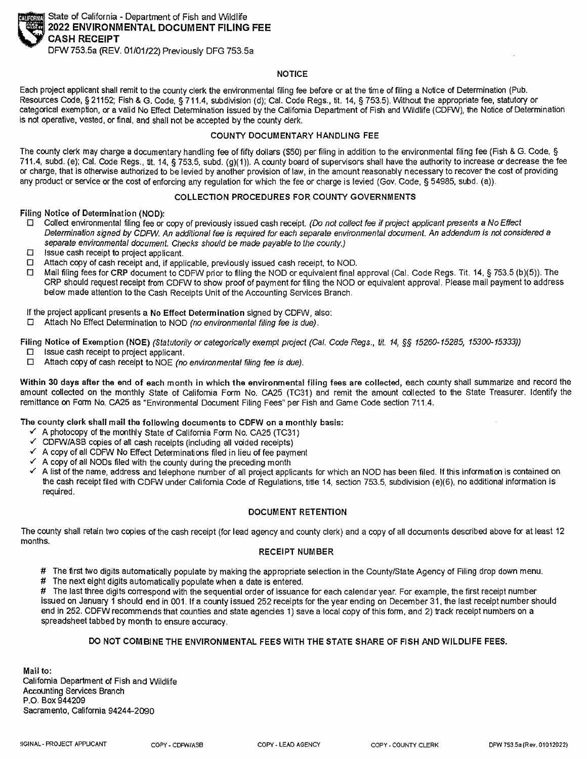

State of California - Department of Fish and Wildlife **2022 ENVIRONMENTAL DOCUMENT FILING FEE CASH RECEIPT** 

DFW 753.Sa (REV. 01/01/22) Previously DFG 753.Sa

## **NOTICE**

Each project applicant shall remit to the county clerk the environmental filing fee before or at the time of filing a Notice of Determination (Pub. Resources Code, § 21152; Fish & G. Code, § 711.4, subdivision (d); Cal. Code Regs., tit. 14, § 753.5). Without the appropriate fee, statutory or categorical exemption, or a valid No Effect Determination issued by the California Department of Fish and Wildlife (CDFW), the Notice of Determination is not operative, vested, or final. and shall not be accepted by the county clerk.

## **COUNTY DOCUMENTARY HANDLING FEE**

The county clerk may charge **a** documentary handling fee of fifty dollars (\$50) per filing in addition to the environmental filing fee (Fish & G. Code, § 711.4, subd. (e); Cal. Code Regs., tit. 14, § 753.5, subd. (g)(1)). A county board of supervisors shall have the authority to increase or decrease the fee or charge, that is otherwise authorized to be levied by another provision of law, in the amount reasonably necessary to recover the cost of providing any product or service or the cost of enforcing any regulation for which the fee or charge is levied (Gov. Code. § 54985. subd. (a)).

## **COLLECTION PROCEDURES FOR COUNTY GOVERNMENTS**

**Filing Notice of Determination (NOD):** 

- □ Collect environmental filing fee or copy of previously issued cash receipt. *(Do* not co/feet fee if project applicant presents a No Effect Determination signed by CDFW An additional fee is required for each separate environmental document. An addendum is not considered a separate environmental document. Checks should be made payable to the county.)
- □ Issue cash receipt to project applicant.
- □ Attach copy of cash receipt and, if applicable, previously issued cash receipt, to NOD.
- □ Mail filing fees for **CRP** document to CDFW prior to filing the NOD or equivalent final approval (Cal. Code Regs. Tit. 14, § 753.5 (b)(5)). The CRP should request receipt from CDFW to show proof of payment for 'filing the NOD or equivalent approval. Please mail payment to address below made attention to the Cash Receipts Unit of the Accounting Services Branch.

If the project applicant presents a No Effect Determination signed by CDFW, also:

□ Attach No Effect Determination to NOD (no environmental filing fee is due).

Filing Notice of Exemption (NOE) (Statutorily or categorically exempt project (Cal. Code Regs., tit. 14, §§ 15260-15285, 15300-15333))

- □ Issue cash receipt to project applicant.
- □ Attach copy of cash receipt to NOE (no environmental filing fee is due).

Within 30 days after the end of each month in which the environmental filing fees are collected, each county shall summarize and record the amount collected on the monthly State of California Form No. CA25 (TC31) and remit the amount collected to the State Treasurer. Identify the remittance on Form No. CA25 as "Environmental Document Filing Fees" per Fish and Game Code section 711.4.

**The county clerk shall mail the following documents to CDFW on a monthly basis:** 

- ✓ A photocopy of the monthly State of California Form No. CA25 (TC31)
- ✓ CDFW/ASB copies of all cash receipts (including all voided receipts)
- ✓ A copy of all CDFW No Effect Determinations filed in lieu of fee payment
- A copy of all NODs filed with the county during the preceding month
- A list of the name, address and telephone number of all project applicants for which an NOD has been filed. If this information is contained on the cash receipt filed with CDFW under California Code of Regulations, title 14, section 753.5, subdivision (e)(6), no additional information is required.

## **DOCUMENT RETENTION**

The county shall retain two copies of the cash receipt (for lead agency and county clerk) and a copy of all documents described above **for** at least 12 months.

## **RECEIPT NUMBER**

# The first two digits automatically populate by making the appropriate selection in the County/State Agency of Filing drop down menu.

# The next eight digits automatically populate when a date is entered.

# The last three digits correspond with the sequential order of issuance for each calendar year. For example, the first receipt number issued on January 1 should end in 001. If a county issued 252 receipts for the year ending on December 31, the last receipt number should end in 252. CDFW recommends that counties and state agencies 1) save a local copy of this form, and 2) track receipt numbers on a spreadsheet tabbed by month to ensure accuracy.

## **DO NOT COMBINE THE ENVIRONMENTAL FEES WITH THE STATE SHARE OF FISH AND WILDLIFE FEES.**

**Mail to:**  Galifornia Department of Fish and Wildlife Accounting Services Branch P .0. Box 944209 Sacramento, California 94244-2090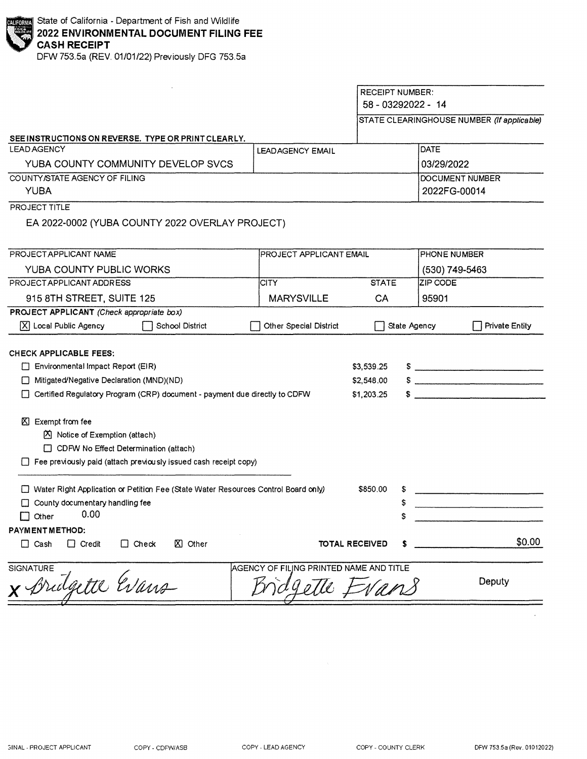DFW 753.5a (REV. 01/01/22) Previously DFG 753.5a

|                                                                                                                                                                                                                                                                                                                           |                                                        | <b>RECEIPT NUMBER:</b><br>58 - 03292022 - 14<br>STATE CLEARINGHOUSE NUMBER (If applicable) |                |                       |  |
|---------------------------------------------------------------------------------------------------------------------------------------------------------------------------------------------------------------------------------------------------------------------------------------------------------------------------|--------------------------------------------------------|--------------------------------------------------------------------------------------------|----------------|-----------------------|--|
|                                                                                                                                                                                                                                                                                                                           |                                                        |                                                                                            |                |                       |  |
| SEE INSTRUCTIONS ON REVERSE. TYPE OR PRINT CLEARLY.<br><b>LEAD AGENCY</b>                                                                                                                                                                                                                                                 | <b>LEADAGENCY EMAIL</b>                                |                                                                                            | DATE           |                       |  |
| YUBA COUNTY COMMUNITY DEVELOP SVCS                                                                                                                                                                                                                                                                                        |                                                        |                                                                                            | 03/29/2022     |                       |  |
| COUNTY/STATE AGENCY OF FILING                                                                                                                                                                                                                                                                                             |                                                        |                                                                                            |                | DOCUMENT NUMBER       |  |
| <b>YUBA</b>                                                                                                                                                                                                                                                                                                               |                                                        |                                                                                            | 2022FG-00014   |                       |  |
| PROJECT TITLE                                                                                                                                                                                                                                                                                                             |                                                        |                                                                                            |                |                       |  |
| EA 2022-0002 (YUBA COUNTY 2022 OVERLAY PROJECT)                                                                                                                                                                                                                                                                           |                                                        |                                                                                            |                |                       |  |
| PROJECT APPLICANT NAME                                                                                                                                                                                                                                                                                                    |                                                        | <b>PROJECT APPLICANT EMAIL</b>                                                             |                | <b>PHONE NUMBER</b>   |  |
| YUBA COUNTY PUBLIC WORKS                                                                                                                                                                                                                                                                                                  |                                                        |                                                                                            | (530) 749-5463 |                       |  |
| PROJECT APPLICANT ADDRESS                                                                                                                                                                                                                                                                                                 | ICITY.                                                 | <b>STATE</b>                                                                               | ZIP CODE       |                       |  |
| 915 8TH STREET, SUITE 125                                                                                                                                                                                                                                                                                                 | <b>MARYSVILLE</b>                                      | CA                                                                                         | 95901          |                       |  |
| PROJECT APPLICANT (Check appropriate box)                                                                                                                                                                                                                                                                                 |                                                        |                                                                                            |                |                       |  |
| $[\overline{X}]$ Local Public Agency<br>School District                                                                                                                                                                                                                                                                   | Other Special District                                 |                                                                                            | State Agency   | <b>Private Entity</b> |  |
| <b>CHECK APPLICABLE FEES:</b><br>Environmental Impact Report (EIR)<br>$\Box$<br>□ Mitigated/Negative Declaration (MND)(ND)<br>Certified Regulatory Program (CRP) document - payment due directly to CDFW<br>$\boxtimes$ Exempt from fee<br><b>K</b> Notice of Exemption (attach)<br>CDFW No Effect Determination (attach) |                                                        | \$3,539.25<br>\$2,548.00<br>\$1,203.25                                                     |                |                       |  |
| $\Box$ Fee previously paid (attach previously issued cash receipt copy)                                                                                                                                                                                                                                                   |                                                        |                                                                                            |                |                       |  |
| Water Right Application or Petition Fee (State Water Resources Control Board only)<br>County documentary handling fee<br>0.00<br>$\Box$ Other                                                                                                                                                                             |                                                        | \$850.00<br>\$<br>\$<br>\$                                                                 |                |                       |  |
| PAYMENT METHOD:<br>$\Box$ Credit<br>$\Box$ Check<br><b>図</b> Other<br>$\Box$ Cash                                                                                                                                                                                                                                         |                                                        | <b>TOTAL RECEIVED</b>                                                                      | s              | \$0.00                |  |
| <b>SIGNATURE</b><br>x Bridgette Evans                                                                                                                                                                                                                                                                                     | AGENCY OF FILING PRINTED NAME AND TITLE<br>gette Evans |                                                                                            |                | Deputy                |  |